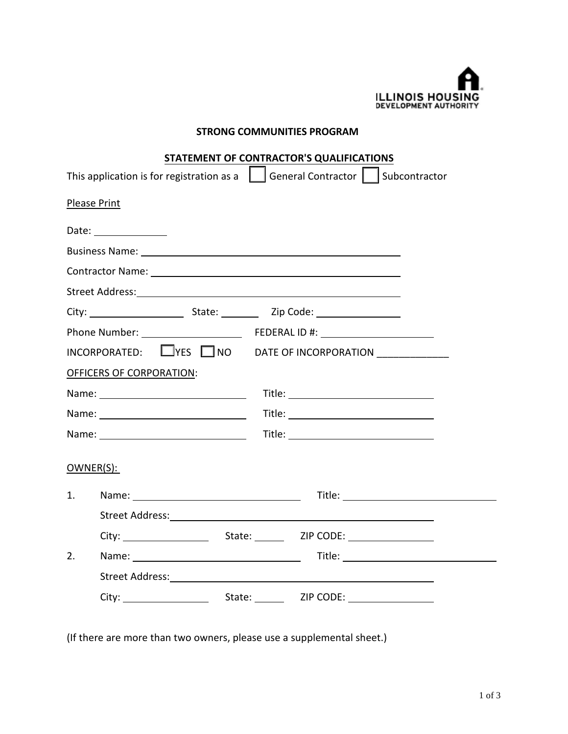

## **STRONG COMMUNITIES PROGRAM**

|                                                                                                                                                                                                                                | STATEMENT OF CONTRACTOR'S QUALIFICATIONS                                                 |  |  |  |  |  |  |
|--------------------------------------------------------------------------------------------------------------------------------------------------------------------------------------------------------------------------------|------------------------------------------------------------------------------------------|--|--|--|--|--|--|
|                                                                                                                                                                                                                                | This application is for registration as a $\Box$ General Contractor $\Box$ Subcontractor |  |  |  |  |  |  |
| Please Print                                                                                                                                                                                                                   |                                                                                          |  |  |  |  |  |  |
| Date: ________________                                                                                                                                                                                                         |                                                                                          |  |  |  |  |  |  |
| Business Name: 1999 Contract Contract Contract Contract Contract Contract Contract Contract Contract Contract Contract Contract Contract Contract Contract Contract Contract Contract Contract Contract Contract Contract Cont |                                                                                          |  |  |  |  |  |  |
|                                                                                                                                                                                                                                |                                                                                          |  |  |  |  |  |  |
|                                                                                                                                                                                                                                |                                                                                          |  |  |  |  |  |  |
|                                                                                                                                                                                                                                |                                                                                          |  |  |  |  |  |  |
|                                                                                                                                                                                                                                |                                                                                          |  |  |  |  |  |  |
|                                                                                                                                                                                                                                | INCORPORATED: $\square$ YES $\square$ NO DATE OF INCORPORATION ______________            |  |  |  |  |  |  |
| <b>OFFICERS OF CORPORATION:</b>                                                                                                                                                                                                |                                                                                          |  |  |  |  |  |  |
|                                                                                                                                                                                                                                |                                                                                          |  |  |  |  |  |  |
|                                                                                                                                                                                                                                |                                                                                          |  |  |  |  |  |  |
|                                                                                                                                                                                                                                |                                                                                          |  |  |  |  |  |  |
| OWNER(S):                                                                                                                                                                                                                      |                                                                                          |  |  |  |  |  |  |
| 1.                                                                                                                                                                                                                             |                                                                                          |  |  |  |  |  |  |
|                                                                                                                                                                                                                                |                                                                                          |  |  |  |  |  |  |
|                                                                                                                                                                                                                                |                                                                                          |  |  |  |  |  |  |
| 2.                                                                                                                                                                                                                             |                                                                                          |  |  |  |  |  |  |
|                                                                                                                                                                                                                                |                                                                                          |  |  |  |  |  |  |
|                                                                                                                                                                                                                                |                                                                                          |  |  |  |  |  |  |
|                                                                                                                                                                                                                                |                                                                                          |  |  |  |  |  |  |

(If there are more than two owners, please use a supplemental sheet.)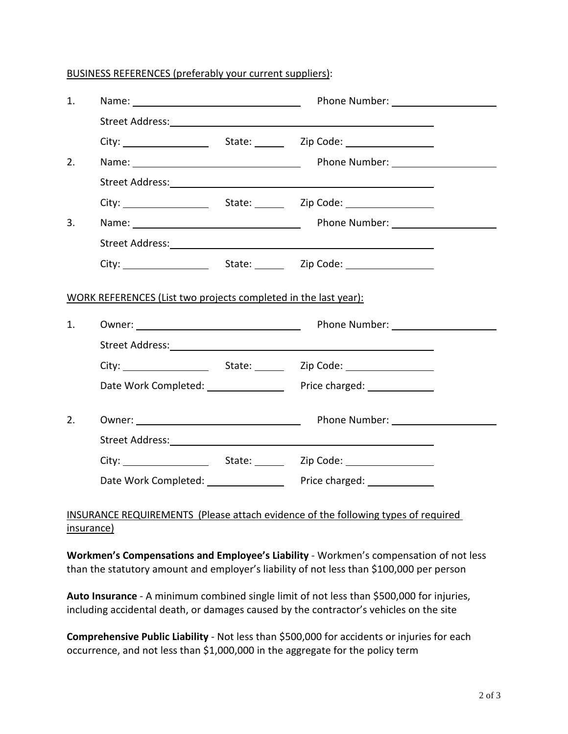## BUSINESS REFERENCES (preferably your current suppliers):

| 1. |                                                                 | Name: Name: Name: Name: Name: Name: Name: Name: Name: Name: Name: Name: Name: Name: Name: Name: Name: Name: Name: Name: Name: Name: Name: Name: Name: Name: Name: Name: Name: Name: Name: Name: Name: Name: Name: Name: Name: |
|----|-----------------------------------------------------------------|-------------------------------------------------------------------------------------------------------------------------------------------------------------------------------------------------------------------------------|
|    |                                                                 |                                                                                                                                                                                                                               |
|    |                                                                 |                                                                                                                                                                                                                               |
| 2. |                                                                 |                                                                                                                                                                                                                               |
|    |                                                                 |                                                                                                                                                                                                                               |
|    |                                                                 |                                                                                                                                                                                                                               |
| 3. |                                                                 |                                                                                                                                                                                                                               |
|    |                                                                 |                                                                                                                                                                                                                               |
|    |                                                                 |                                                                                                                                                                                                                               |
|    | WORK REFERENCES (List two projects completed in the last year): |                                                                                                                                                                                                                               |
| 1. |                                                                 | Owner: National Communication of Phone Number: National Phone Number:                                                                                                                                                         |
|    |                                                                 |                                                                                                                                                                                                                               |
|    |                                                                 |                                                                                                                                                                                                                               |
|    |                                                                 | Date Work Completed: ___________________ Price charged: _____________                                                                                                                                                         |
| 2. |                                                                 | Owner: Department of the Phone Number: Department of the Phone Number:<br>Street Address: No. 2014 12:00:00 12:00:00 12:00:00 12:00:00 12:00:00 12:00:00 12:00:00 12:00:00 12:00:00 12:0                                      |
|    |                                                                 |                                                                                                                                                                                                                               |
|    |                                                                 | Date Work Completed: _____________________ Price charged: _______________                                                                                                                                                     |

## INSURANCE REQUIREMENTS (Please attach evidence of the following types of required insurance)

**Workmen's Compensations and Employee's Liability** - Workmen's compensation of not less than the statutory amount and employer's liability of not less than \$100,000 per person

**Auto Insurance** - A minimum combined single limit of not less than \$500,000 for injuries, including accidental death, or damages caused by the contractor's vehicles on the site

**Comprehensive Public Liability** - Not less than \$500,000 for accidents or injuries for each occurrence, and not less than \$1,000,000 in the aggregate for the policy term